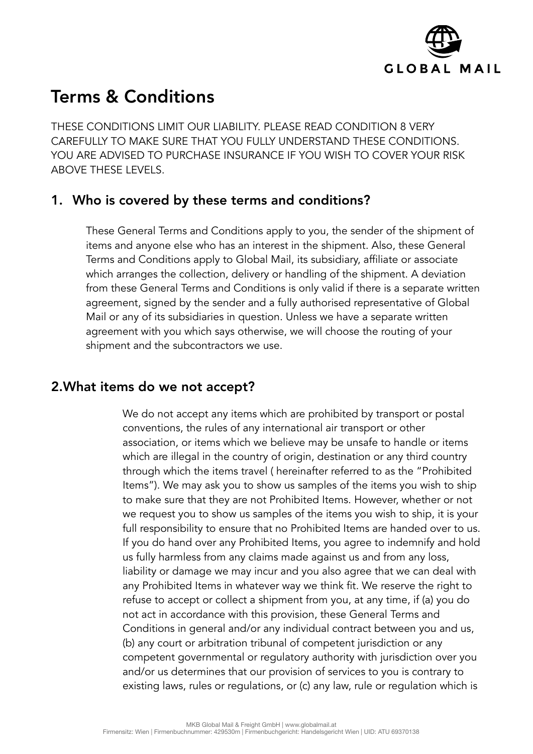

# Terms & Conditions

THESE CONDITIONS LIMIT OUR LIABILITY. PLEASE READ CONDITION 8 VERY CAREFULLY TO MAKE SURE THAT YOU FULLY UNDERSTAND THESE CONDITIONS. YOU ARE ADVISED TO PURCHASE INSURANCE IF YOU WISH TO COVER YOUR RISK ABOVE THESE LEVELS.

## 1. Who is covered by these terms and conditions?

These General Terms and Conditions apply to you, the sender of the shipment of items and anyone else who has an interest in the shipment. Also, these General Terms and Conditions apply to Global Mail, its subsidiary, affiliate or associate which arranges the collection, delivery or handling of the shipment. A deviation from these General Terms and Conditions is only valid if there is a separate written agreement, signed by the sender and a fully authorised representative of Global Mail or any of its subsidiaries in question. Unless we have a separate written agreement with you which says otherwise, we will choose the routing of your shipment and the subcontractors we use.

#### 2.What items do we not accept?

We do not accept any items which are prohibited by transport or postal conventions, the rules of any international air transport or other association, or items which we believe may be unsafe to handle or items which are illegal in the country of origin, destination or any third country through which the items travel ( hereinafter referred to as the "Prohibited Items"). We may ask you to show us samples of the items you wish to ship to make sure that they are not Prohibited Items. However, whether or not we request you to show us samples of the items you wish to ship, it is your full responsibility to ensure that no Prohibited Items are handed over to us. If you do hand over any Prohibited Items, you agree to indemnify and hold us fully harmless from any claims made against us and from any loss, liability or damage we may incur and you also agree that we can deal with any Prohibited Items in whatever way we think fit. We reserve the right to refuse to accept or collect a shipment from you, at any time, if (a) you do not act in accordance with this provision, these General Terms and Conditions in general and/or any individual contract between you and us, (b) any court or arbitration tribunal of competent jurisdiction or any competent governmental or regulatory authority with jurisdiction over you and/or us determines that our provision of services to you is contrary to existing laws, rules or regulations, or (c) any law, rule or regulation which is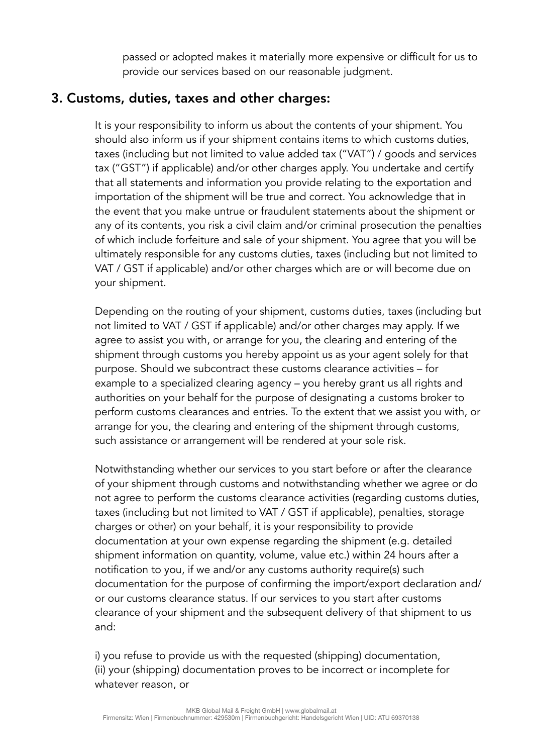passed or adopted makes it materially more expensive or difficult for us to provide our services based on our reasonable judgment.

# 3. Customs, duties, taxes and other charges:

It is your responsibility to inform us about the contents of your shipment. You should also inform us if your shipment contains items to which customs duties, taxes (including but not limited to value added tax ("VAT") / goods and services tax ("GST") if applicable) and/or other charges apply. You undertake and certify that all statements and information you provide relating to the exportation and importation of the shipment will be true and correct. You acknowledge that in the event that you make untrue or fraudulent statements about the shipment or any of its contents, you risk a civil claim and/or criminal prosecution the penalties of which include forfeiture and sale of your shipment. You agree that you will be ultimately responsible for any customs duties, taxes (including but not limited to VAT / GST if applicable) and/or other charges which are or will become due on your shipment.

Depending on the routing of your shipment, customs duties, taxes (including but not limited to VAT / GST if applicable) and/or other charges may apply. If we agree to assist you with, or arrange for you, the clearing and entering of the shipment through customs you hereby appoint us as your agent solely for that purpose. Should we subcontract these customs clearance activities – for example to a specialized clearing agency – you hereby grant us all rights and authorities on your behalf for the purpose of designating a customs broker to perform customs clearances and entries. To the extent that we assist you with, or arrange for you, the clearing and entering of the shipment through customs, such assistance or arrangement will be rendered at your sole risk.

Notwithstanding whether our services to you start before or after the clearance of your shipment through customs and notwithstanding whether we agree or do not agree to perform the customs clearance activities (regarding customs duties, taxes (including but not limited to VAT / GST if applicable), penalties, storage charges or other) on your behalf, it is your responsibility to provide documentation at your own expense regarding the shipment (e.g. detailed shipment information on quantity, volume, value etc.) within 24 hours after a notification to you, if we and/or any customs authority require(s) such documentation for the purpose of confirming the import/export declaration and/ or our customs clearance status. If our services to you start after customs clearance of your shipment and the subsequent delivery of that shipment to us and:

i) you refuse to provide us with the requested (shipping) documentation, (ii) your (shipping) documentation proves to be incorrect or incomplete for whatever reason, or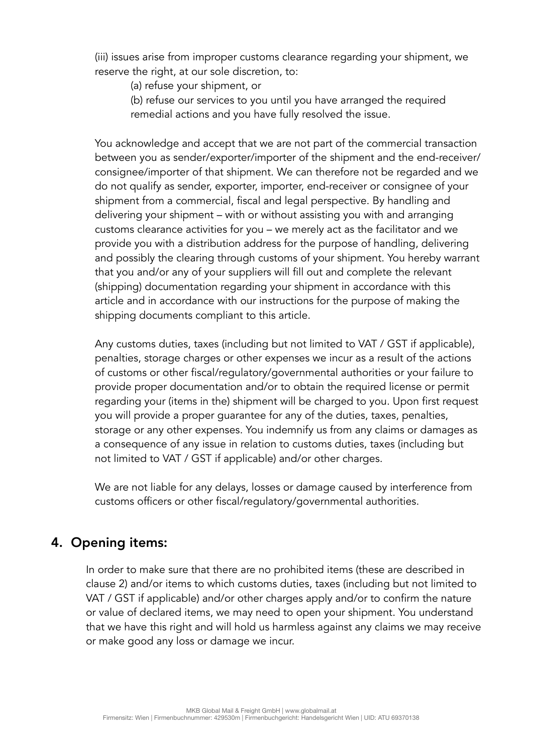(iii) issues arise from improper customs clearance regarding your shipment, we reserve the right, at our sole discretion, to:

- (a) refuse your shipment, or
- (b) refuse our services to you until you have arranged the required remedial actions and you have fully resolved the issue.

You acknowledge and accept that we are not part of the commercial transaction between you as sender/exporter/importer of the shipment and the end-receiver/ consignee/importer of that shipment. We can therefore not be regarded and we do not qualify as sender, exporter, importer, end-receiver or consignee of your shipment from a commercial, fiscal and legal perspective. By handling and delivering your shipment – with or without assisting you with and arranging customs clearance activities for you – we merely act as the facilitator and we provide you with a distribution address for the purpose of handling, delivering and possibly the clearing through customs of your shipment. You hereby warrant that you and/or any of your suppliers will fill out and complete the relevant (shipping) documentation regarding your shipment in accordance with this article and in accordance with our instructions for the purpose of making the shipping documents compliant to this article.

Any customs duties, taxes (including but not limited to VAT / GST if applicable), penalties, storage charges or other expenses we incur as a result of the actions of customs or other fiscal/regulatory/governmental authorities or your failure to provide proper documentation and/or to obtain the required license or permit regarding your (items in the) shipment will be charged to you. Upon first request you will provide a proper guarantee for any of the duties, taxes, penalties, storage or any other expenses. You indemnify us from any claims or damages as a consequence of any issue in relation to customs duties, taxes (including but not limited to VAT / GST if applicable) and/or other charges.

We are not liable for any delays, losses or damage caused by interference from customs officers or other fiscal/regulatory/governmental authorities.

# 4. Opening items:

In order to make sure that there are no prohibited items (these are described in clause 2) and/or items to which customs duties, taxes (including but not limited to VAT / GST if applicable) and/or other charges apply and/or to confirm the nature or value of declared items, we may need to open your shipment. You understand that we have this right and will hold us harmless against any claims we may receive or make good any loss or damage we incur.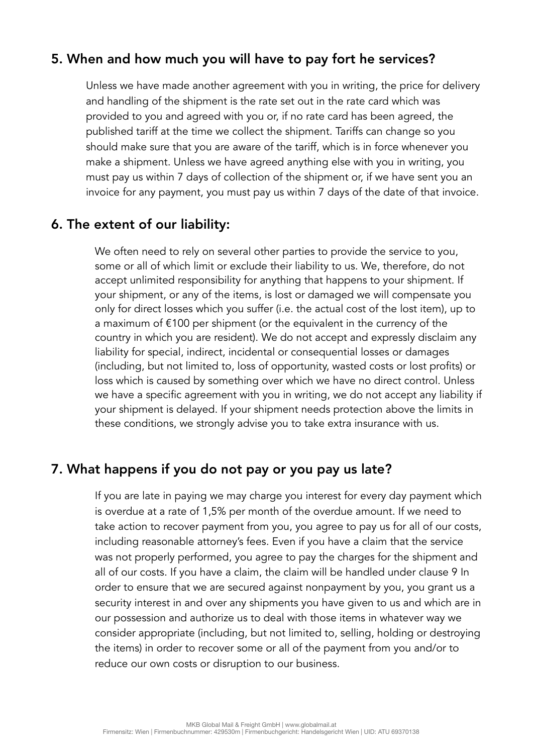# 5. When and how much you will have to pay fort he services?

Unless we have made another agreement with you in writing, the price for delivery and handling of the shipment is the rate set out in the rate card which was provided to you and agreed with you or, if no rate card has been agreed, the published tariff at the time we collect the shipment. Tariffs can change so you should make sure that you are aware of the tariff, which is in force whenever you make a shipment. Unless we have agreed anything else with you in writing, you must pay us within 7 days of collection of the shipment or, if we have sent you an invoice for any payment, you must pay us within 7 days of the date of that invoice.

#### 6. The extent of our liability:

We often need to rely on several other parties to provide the service to you, some or all of which limit or exclude their liability to us. We, therefore, do not accept unlimited responsibility for anything that happens to your shipment. If your shipment, or any of the items, is lost or damaged we will compensate you only for direct losses which you suffer (i.e. the actual cost of the lost item), up to a maximum of €100 per shipment (or the equivalent in the currency of the country in which you are resident). We do not accept and expressly disclaim any liability for special, indirect, incidental or consequential losses or damages (including, but not limited to, loss of opportunity, wasted costs or lost profits) or loss which is caused by something over which we have no direct control. Unless we have a specific agreement with you in writing, we do not accept any liability if your shipment is delayed. If your shipment needs protection above the limits in these conditions, we strongly advise you to take extra insurance with us.

#### 7. What happens if you do not pay or you pay us late?

If you are late in paying we may charge you interest for every day payment which is overdue at a rate of 1,5% per month of the overdue amount. If we need to take action to recover payment from you, you agree to pay us for all of our costs, including reasonable attorney's fees. Even if you have a claim that the service was not properly performed, you agree to pay the charges for the shipment and all of our costs. If you have a claim, the claim will be handled under clause 9 In order to ensure that we are secured against nonpayment by you, you grant us a security interest in and over any shipments you have given to us and which are in our possession and authorize us to deal with those items in whatever way we consider appropriate (including, but not limited to, selling, holding or destroying the items) in order to recover some or all of the payment from you and/or to reduce our own costs or disruption to our business.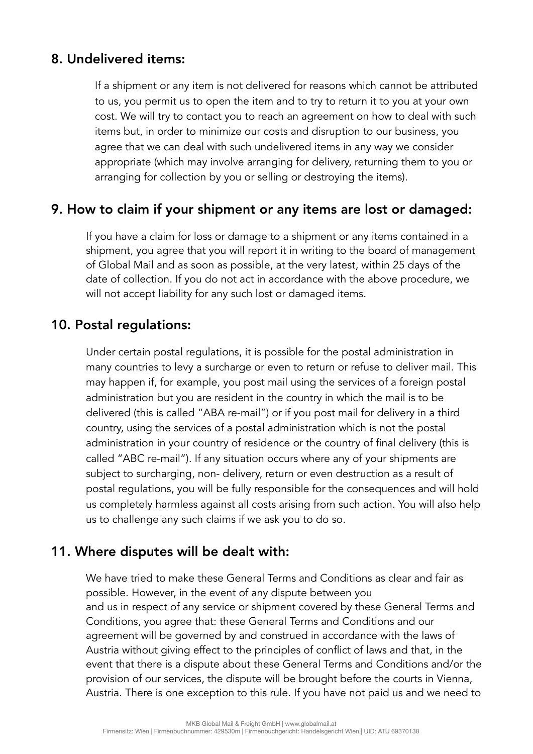## 8. Undelivered items:

If a shipment or any item is not delivered for reasons which cannot be attributed to us, you permit us to open the item and to try to return it to you at your own cost. We will try to contact you to reach an agreement on how to deal with such items but, in order to minimize our costs and disruption to our business, you agree that we can deal with such undelivered items in any way we consider appropriate (which may involve arranging for delivery, returning them to you or arranging for collection by you or selling or destroying the items).

#### 9. How to claim if your shipment or any items are lost or damaged:

If you have a claim for loss or damage to a shipment or any items contained in a shipment, you agree that you will report it in writing to the board of management of Global Mail and as soon as possible, at the very latest, within 25 days of the date of collection. If you do not act in accordance with the above procedure, we will not accept liability for any such lost or damaged items.

## 10. Postal regulations:

Under certain postal regulations, it is possible for the postal administration in many countries to levy a surcharge or even to return or refuse to deliver mail. This may happen if, for example, you post mail using the services of a foreign postal administration but you are resident in the country in which the mail is to be delivered (this is called "ABA re-mail") or if you post mail for delivery in a third country, using the services of a postal administration which is not the postal administration in your country of residence or the country of final delivery (this is called "ABC re-mail"). If any situation occurs where any of your shipments are subject to surcharging, non- delivery, return or even destruction as a result of postal regulations, you will be fully responsible for the consequences and will hold us completely harmless against all costs arising from such action. You will also help us to challenge any such claims if we ask you to do so.

## 11. Where disputes will be dealt with:

We have tried to make these General Terms and Conditions as clear and fair as possible. However, in the event of any dispute between you and us in respect of any service or shipment covered by these General Terms and Conditions, you agree that: these General Terms and Conditions and our agreement will be governed by and construed in accordance with the laws of Austria without giving effect to the principles of conflict of laws and that, in the event that there is a dispute about these General Terms and Conditions and/or the provision of our services, the dispute will be brought before the courts in Vienna, Austria. There is one exception to this rule. If you have not paid us and we need to